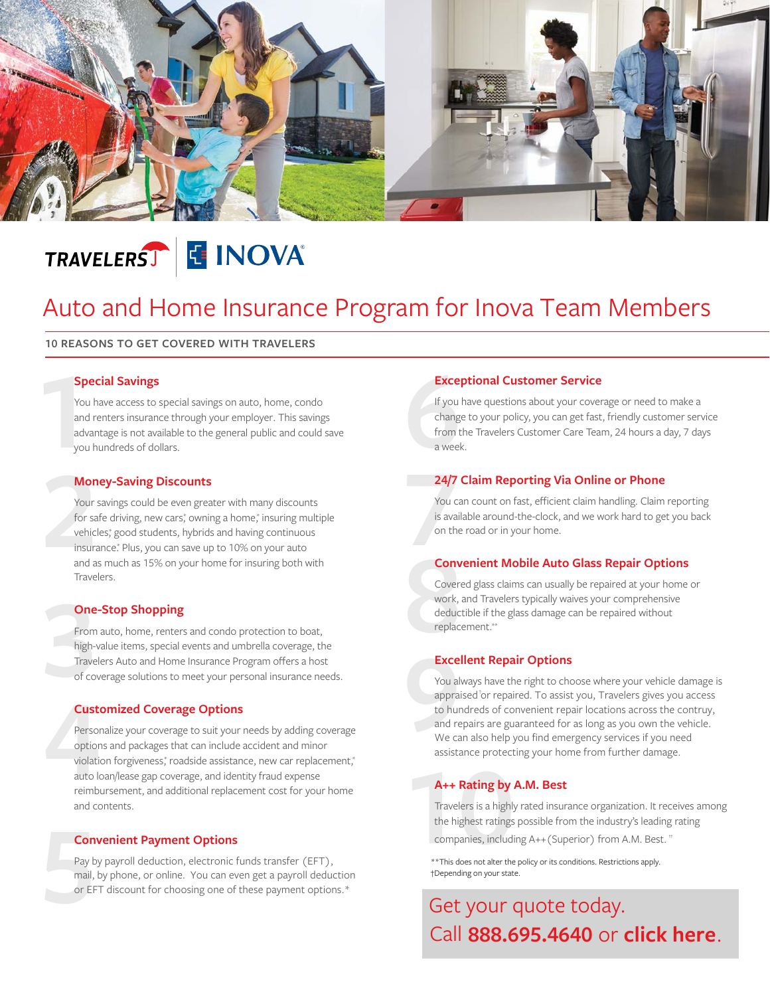

# TRAVELERST E INOVA®

## Auto and Home Insurance Program for Inova Team Members

#### **10 REASONS TO GET COVERED WITH TRAVELERS**

#### **Special Savings**

**1** You have access to special savings on auto, home, condo and renters insurance through your employer. This savings advantage is not available to the general public and could save you hundreds of dollars.

#### **Money-Saving Discounts**

**2** Your savings could be even greater with many discounts for safe driving, new cars,\* owning a home,\* insuring multiple vehicles, good students, hybrids and having continuous insurance.\* Plus, you can save up to 10% on your auto and as much as 15% on your home for insuring both with Travelers.

#### **One-Stop Shopping**

**3** From auto, home, renters and condo protection to boat, high-value items, special events and umbrella coverage, the Travelers Auto and Home Insurance Program offers a host of coverage solutions to meet your personal insurance needs.

#### **Customized Coverage Options**

**4**<br>Perso<br>option<br>violati<br>auto l<sub>1</sub><br>reimb Personalize your coverage to suit your needs by adding coverage options and packages that can include accident and minor violation forgiveness,\* roadside assistance, new car replacement,\* auto loan/lease gap coverage, and identity fraud expense reimbursement, and additional replacement cost for your home and contents.

#### **Convenient Payment Options**

**5** Pay by payroll deduction, electronic funds transfer (EFT), mail, by phone, or online. You can even get a payroll deduction or EFT discount for choosing one of these payment options.\*

#### **Exceptional Customer Service**

**Exce**<br>
If you<br>
chang<br>
from t<br>
a weel If you have questions about your coverage or need to make a change to your policy, you can get fast, friendly customer service from the Travelers Customer Care Team, 24 hours a day, 7 days a week.

#### **24/7 Claim Reporting Via Online or Phone**

**24/7**<br>
You c<br>
is avain<br>
on the<br> **Conv** You can count on fast, efficient claim handling. Claim reporting is available around-the-clock, and we work hard to get you back on the road or in your home.

#### **Convenient Mobile Auto Glass Repair Options**

**8** Covered glass claims can usually be repaired at your home or work, and Travelers typically waives your comprehensive deductible if the glass damage can be repaired without replacement.\*\*

#### **Excellent Repair Options**

Exce<br>
You al<br>
appra<br>
to hur<br>
and re<br>
We ca<br>
assista You always have the right to choose where your vehicle damage is appraised<sup>†</sup>or repaired. To assist you, Travelers gives you access to hundreds of convenient repair locations across the contruy, and repairs are guaranteed for as long as you own the vehicle. We can also help you find emergency services if you need assistance protecting your home from further damage.

#### **A++ Rating by A.M. Best**

**100 A++ Rating by**<br>Travelers is a highly<br>the highest ratings<br>companies, includi<br>\*\*This does not alter the companies, including A++(Superior) from A.M. Best. †† Travelers is a highly rated insurance organization. It receives among the highest ratings possible from the industry's leading rating

\*\*This does not alter the policy or its conditions. Restrictions apply. †Depending on your state.

### Get your quote today. **888.695.4640** or **[click here](https://www.travelers.com/affinity/sponsor/inova)**. Call